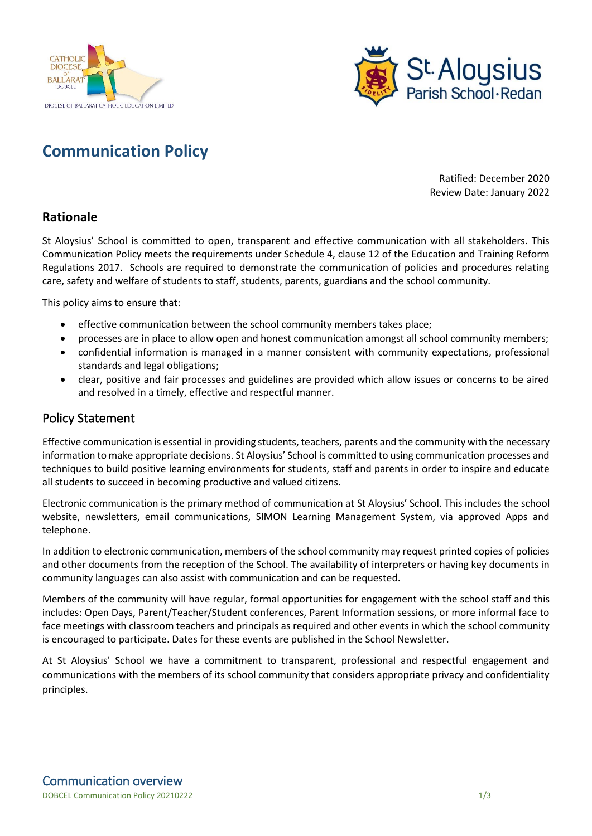



## **Communication Policy**

Ratified: December 2020 Review Date: January 2022

## **Rationale**

St Aloysius' School is committed to open, transparent and effective communication with all stakeholders. This Communication Policy meets the requirements under Schedule 4, clause 12 of the Education and Training Reform Regulations 2017. Schools are required to demonstrate the communication of policies and procedures relating care, safety and welfare of students to staff, students, parents, guardians and the school community.

This policy aims to ensure that:

- effective communication between the school community members takes place;
- processes are in place to allow open and honest communication amongst all school community members;
- confidential information is managed in a manner consistent with community expectations, professional standards and legal obligations;
- clear, positive and fair processes and guidelines are provided which allow issues or concerns to be aired and resolved in a timely, effective and respectful manner.

## Policy Statement

Effective communication is essential in providing students, teachers, parents and the community with the necessary information to make appropriate decisions. St Aloysius' School is committed to using communication processes and techniques to build positive learning environments for students, staff and parents in order to inspire and educate all students to succeed in becoming productive and valued citizens.

Electronic communication is the primary method of communication at St Aloysius' School. This includes the school website, newsletters, email communications, SIMON Learning Management System, via approved Apps and telephone.

In addition to electronic communication, members of the school community may request printed copies of policies and other documents from the reception of the School. The availability of interpreters or having key documents in community languages can also assist with communication and can be requested.

Members of the community will have regular, formal opportunities for engagement with the school staff and this includes: Open Days, Parent/Teacher/Student conferences, Parent Information sessions, or more informal face to face meetings with classroom teachers and principals as required and other events in which the school community is encouraged to participate. Dates for these events are published in the School Newsletter.

At St Aloysius' School we have a commitment to transparent, professional and respectful engagement and communications with the members of its school community that considers appropriate privacy and confidentiality principles.